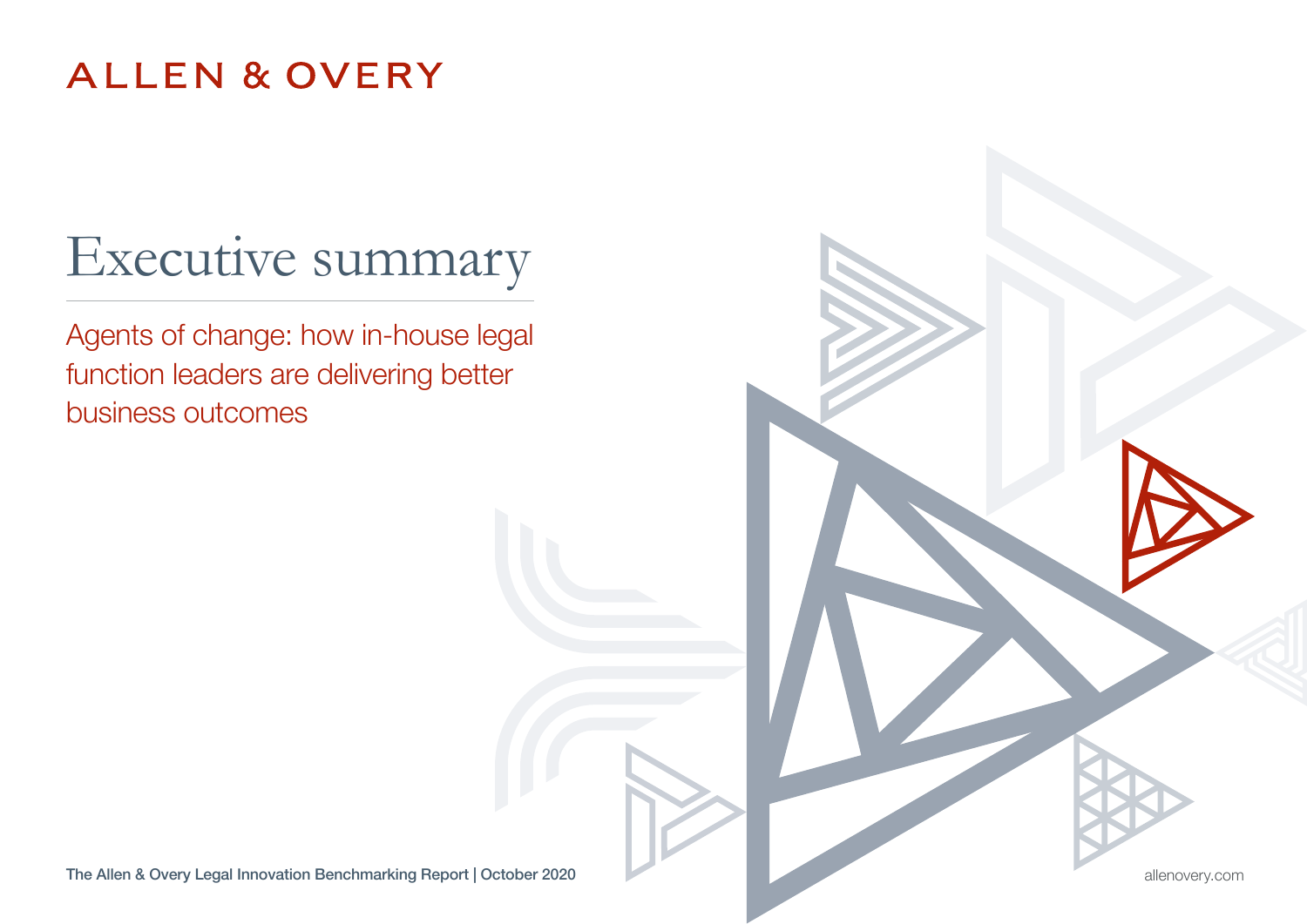### **ALLEN & OVERY**

# Executive summary

Agents of change: how in-house legal function leaders are delivering better business outcomes

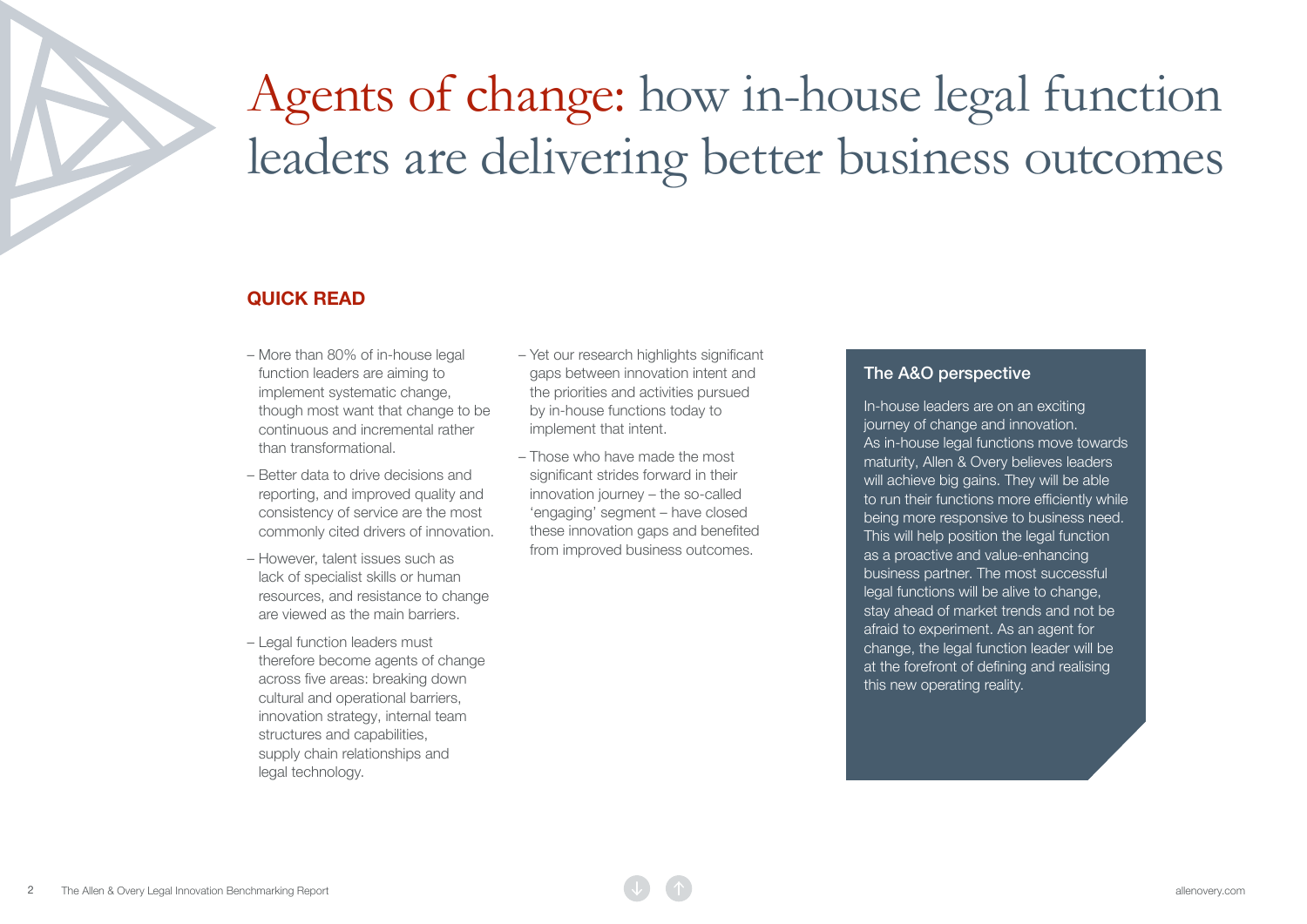# Agents of change: how in-house legal function leaders are delivering better business outcomes

#### QUICK READ

- More than 80% of in-house legal function leaders are aiming to implement systematic change, though most want that change to be continuous and incremental rather than transformational.
- Better data to drive decisions and reporting, and improved quality and consistency of service are the most commonly cited drivers of innovation.
- However, talent issues such as lack of specialist skills or human resources, and resistance to change are viewed as the main barriers.
- Legal function leaders must therefore become agents of change across five areas: breaking down cultural and operational barriers, innovation strategy, internal team structures and capabilities. supply chain relationships and legal technology.
- Yet our research highlights significant gaps between innovation intent and the priorities and activities pursued by in-house functions today to implement that intent.
- Those who have made the most significant strides forward in their innovation journey – the so-called 'engaging' segment – have closed these innovation gaps and benefited from improved business outcomes.

#### The A&O perspective

In-house leaders are on an exciting journey of change and innovation. As in-house legal functions move towards maturity, Allen & Overy believes leaders will achieve big gains. They will be able to run their functions more efficiently while being more responsive to business need. This will help position the legal function as a proactive and value-enhancing business partner. The most successful legal functions will be alive to change, stay ahead of market trends and not be afraid to experiment. As an agent for change, the legal function leader will be at the forefront of defining and realising this new operating reality.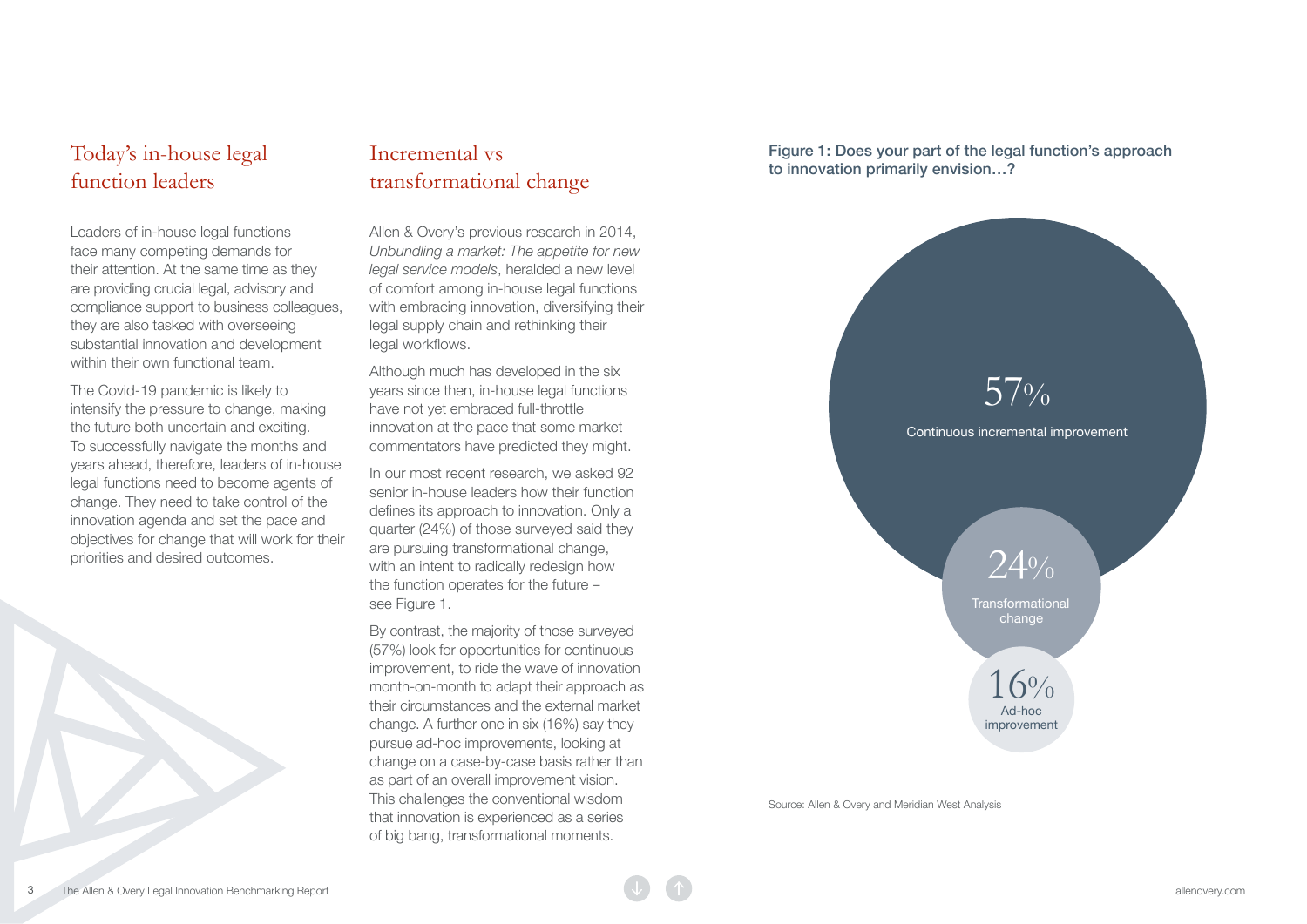#### Today's in-house legal function leaders

Leaders of in-house legal functions face many competing demands for their attention. At the same time as they are providing crucial legal, advisory and compliance support to business colleagues, they are also tasked with overseeing substantial innovation and development within their own functional team.

The Covid-19 pandemic is likely to intensify the pressure to change, making the future both uncertain and exciting. To successfully navigate the months and years ahead, therefore, leaders of in-house legal functions need to become agents of change. They need to take control of the innovation agenda and set the pace and objectives for change that will work for their priorities and desired outcomes.

#### Incremental vs transformational change

Allen & Overy's previous research in 2014, *Unbundling a market: The appetite for new legal service models*, heralded a new level of comfort among in-house legal functions with embracing innovation, diversifying their legal supply chain and rethinking their legal workflows.

Although much has developed in the six years since then, in-house legal functions have not yet embraced full-throttle innovation at the pace that some market commentators have predicted they might.

In our most recent research, we asked 92 senior in-house leaders how their function defines its approach to innovation. Only a quarter (24%) of those surveyed said they are pursuing transformational change, with an intent to radically redesign how the function operates for the future – see Figure 1.

By contrast, the majority of those surveyed (57%) look for opportunities for continuous improvement, to ride the wave of innovation month-on-month to adapt their approach as their circumstances and the external market change. A further one in six (16%) say they pursue ad-hoc improvements, looking at change on a case-by-case basis rather than as part of an overall improvement vision. This challenges the conventional wisdom that innovation is experienced as a series of big bang, transformational moments.

Figure 1: Does your part of the legal function's approach to innovation primarily envision…?



Source: Allen & Overy and Meridian West Analysis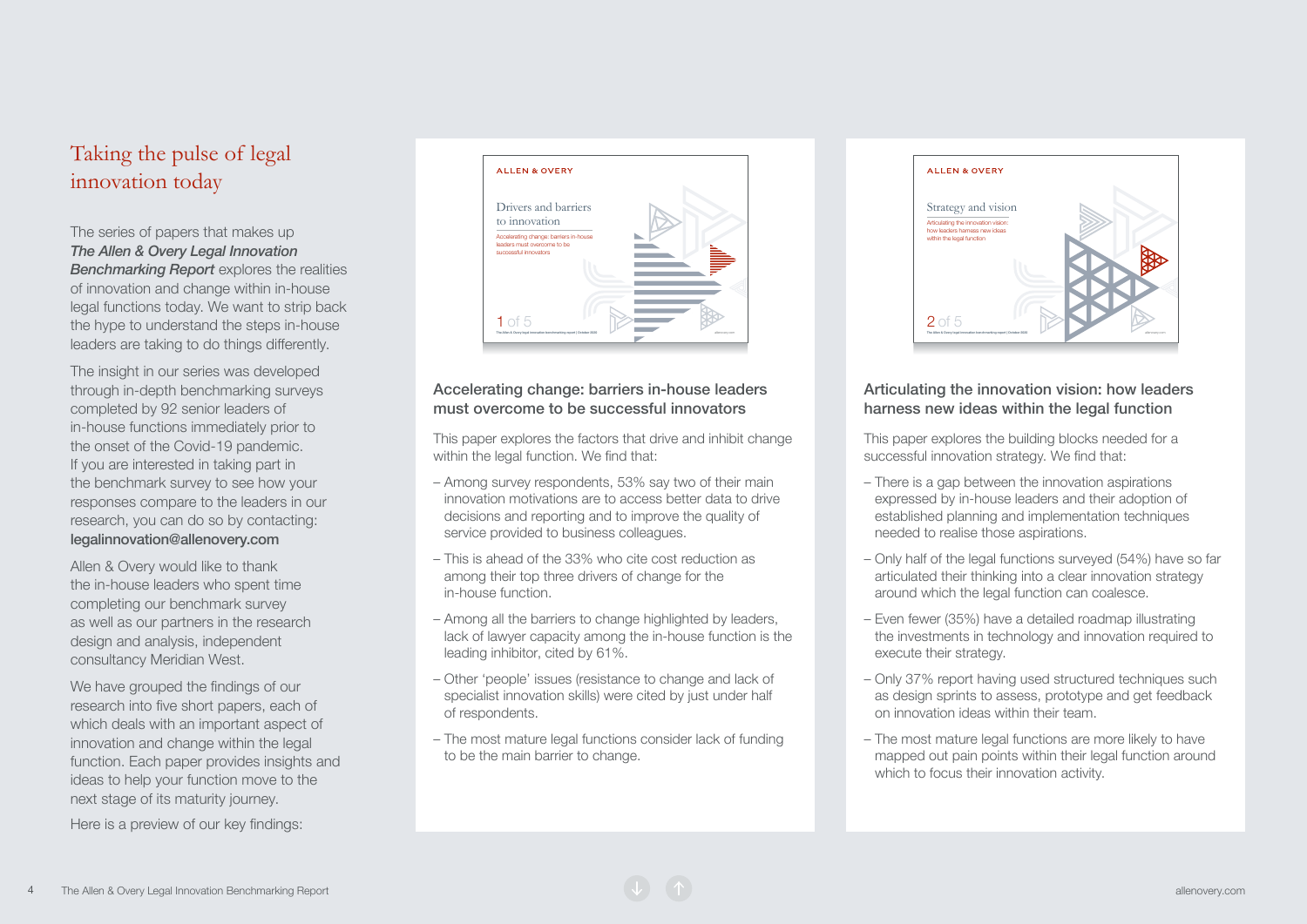### Taking the pulse of legal innovation today

The series of papers that makes up *The Allen & Overy Legal Innovation Benchmarking Report* explores the realities of innovation and change within in-house legal functions today. We want to strip back the hype to understand the steps in-house leaders are taking to do things differently.

The insight in our series was developed through in-depth benchmarking surveys completed by 92 senior leaders of in-house functions immediately prior to the onset of the Covid-19 pandemic. If you are interested in taking part in the benchmark survey to see how your responses compare to the leaders in our research, you can do so by contacting: [legalinnovation@allenovery.com](mailto:legalinnovation%40allenovery.com?subject=Legal%20innovation%20benchmarking%20survey)

Allen & Overy would like to thank the in-house leaders who spent time completing our benchmark survey as well as our partners in the research design and analysis, independent consultancy Meridian West.

We have grouped the findings of our research into five short papers, each of which deals with an important aspect of innovation and change within the legal function. Each paper provides insights and ideas to help your function move to the next stage of its maturity journey.

Here is a preview of our key findings:



#### Accelerating change: barriers in-house leaders must overcome to be successful innovators

This paper explores the factors that drive and inhibit change within the legal function. We find that:

- Among survey respondents, 53% say two of their main innovation motivations are to access better data to drive decisions and reporting and to improve the quality of service provided to business colleagues.
- This is ahead of the 33% who cite cost reduction as among their top three drivers of change for the in-house function.
- Among all the barriers to change highlighted by leaders, lack of lawyer capacity among the in-house function is the leading inhibitor, cited by 61%.
- Other 'people' issues (resistance to change and lack of specialist innovation skills) were cited by just under half of respondents.
- The most mature legal functions consider lack of funding to be the main barrier to change.



#### Articulating the innovation vision: how leaders harness new ideas within the legal function

This paper explores the building blocks needed for a successful innovation strategy. We find that:

- There is a gap between the innovation aspirations expressed by in-house leaders and their adoption of established planning and implementation techniques needed to realise those aspirations.
- Only half of the legal functions surveyed (54%) have so far articulated their thinking into a clear innovation strategy around which the legal function can coalesce.
- Even fewer (35%) have a detailed roadmap illustrating the investments in technology and innovation required to execute their strategy.
- Only 37% report having used structured techniques such as design sprints to assess, prototype and get feedback on innovation ideas within their team.
- The most mature legal functions are more likely to have mapped out pain points within their legal function around which to focus their innovation activity.

Allen & Overy Legal Innovation Benchmarking Report and the Communication of the Communication Communication Communication Communication Communication Communication Communication Communication Communication Communication Co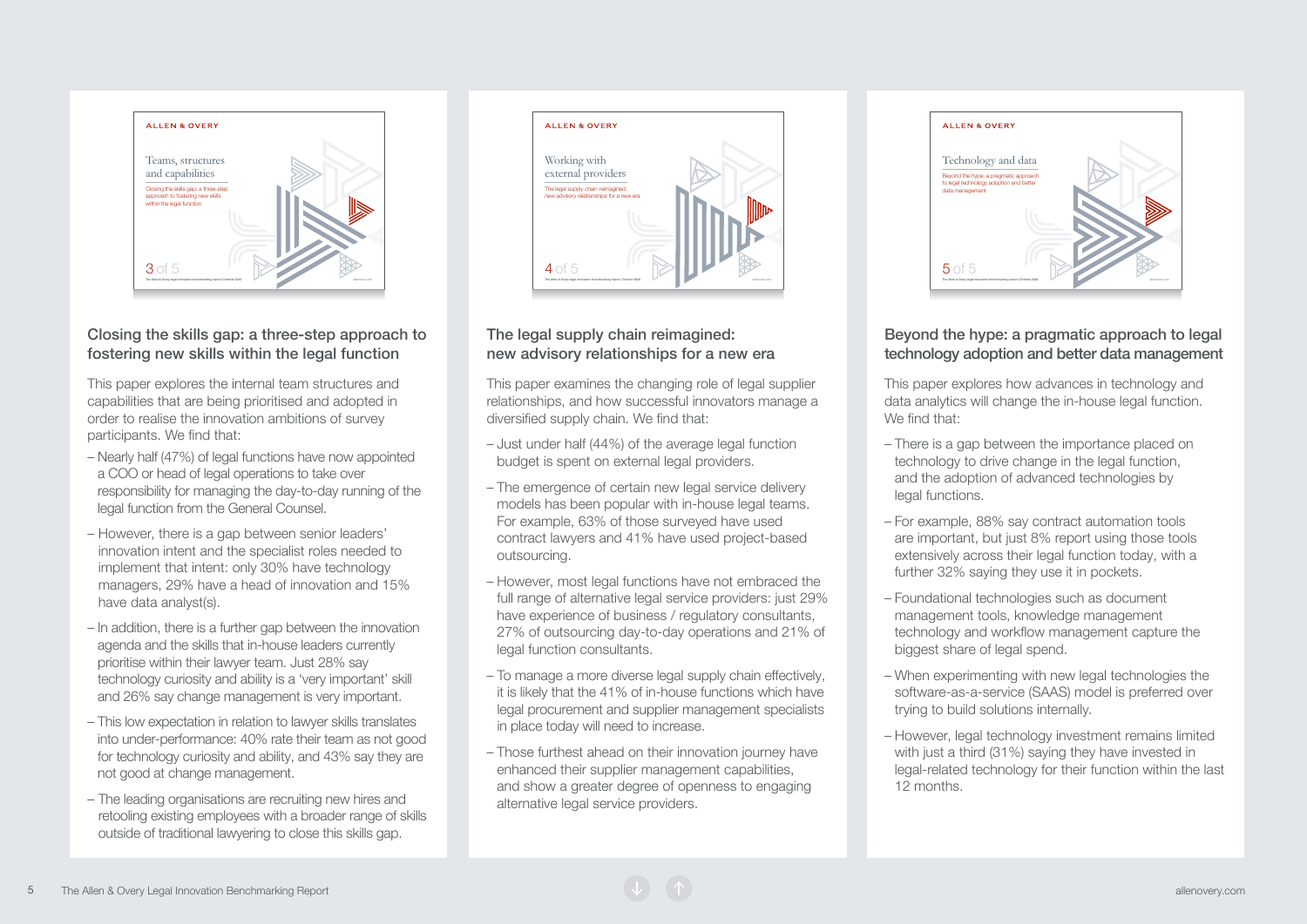

#### Closing the skills gap: a three-step approach to fostering new skills within the legal function

This paper explores the internal team structures and capabilities that are being prioritised and adopted in order to realise the innovation ambitions of survey participants. We find that:

- Nearly half (47%) of legal functions have now appointed a COO or head of legal operations to take over responsibility for managing the day-to-day running of the legal function from the General Counsel.
- However, there is a gap between senior leaders' innovation intent and the specialist roles needed to implement that intent: only 30% have technology managers, 29% have a head of innovation and 15% have data analyst(s).
- In addition, there is a further gap between the innovation agenda and the skills that in-house leaders currently prioritise within their lawyer team. Just 28% say technology curiosity and ability is a 'very important' skill and 26% say change management is very important.
- This low expectation in relation to lawyer skills translates into under-performance: 40% rate their team as not good for technology curiosity and ability, and 43% say they are not good at change management.
- The leading organisations are recruiting new hires and retooling existing employees with a broader range of skills outside of traditional lawyering to close this skills gap.



#### The legal supply chain reimagined: new advisory relationships for a new era

This paper examines the changing role of legal supplier relationships, and how successful innovators manage a diversified supply chain. We find that:

- Just under half (44%) of the average legal function budget is spent on external legal providers.
- The emergence of certain new legal service delivery models has been popular with in-house legal teams. For example, 63% of those surveyed have used contract lawyers and 41% have used project-based outsourcing.
- However, most legal functions have not embraced the full range of alternative legal service providers: just 29% have experience of business / regulatory consultants, 27% of outsourcing day-to-day operations and 21% of legal function consultants.
- To manage a more diverse legal supply chain effectively, it is likely that the 41% of in-house functions which have legal procurement and supplier management specialists in place today will need to increase.
- Those furthest ahead on their innovation journey have enhanced their supplier management capabilities, and show a greater degree of openness to engaging alternative legal service providers.



#### Beyond the hype: a pragmatic approach to legal technology adoption and better data management

This paper explores how advances in technology and data analytics will change the in-house legal function. We find that:

- There is a gap between the importance placed on technology to drive change in the legal function, and the adoption of advanced technologies by legal functions.
- For example, 88% say contract automation tools are important, but just 8% report using those tools extensively across their legal function today, with a further 32% saying they use it in pockets.
- Foundational technologies such as document management tools, knowledge management technology and workflow management capture the biggest share of legal spend.
- When experimenting with new legal technologies the software-as-a-service (SAAS) model is preferred over trying to build solutions internally.
- However, legal technology investment remains limited with just a third (31%) saying they have invested in legal-related technology for their function within the last 12 months.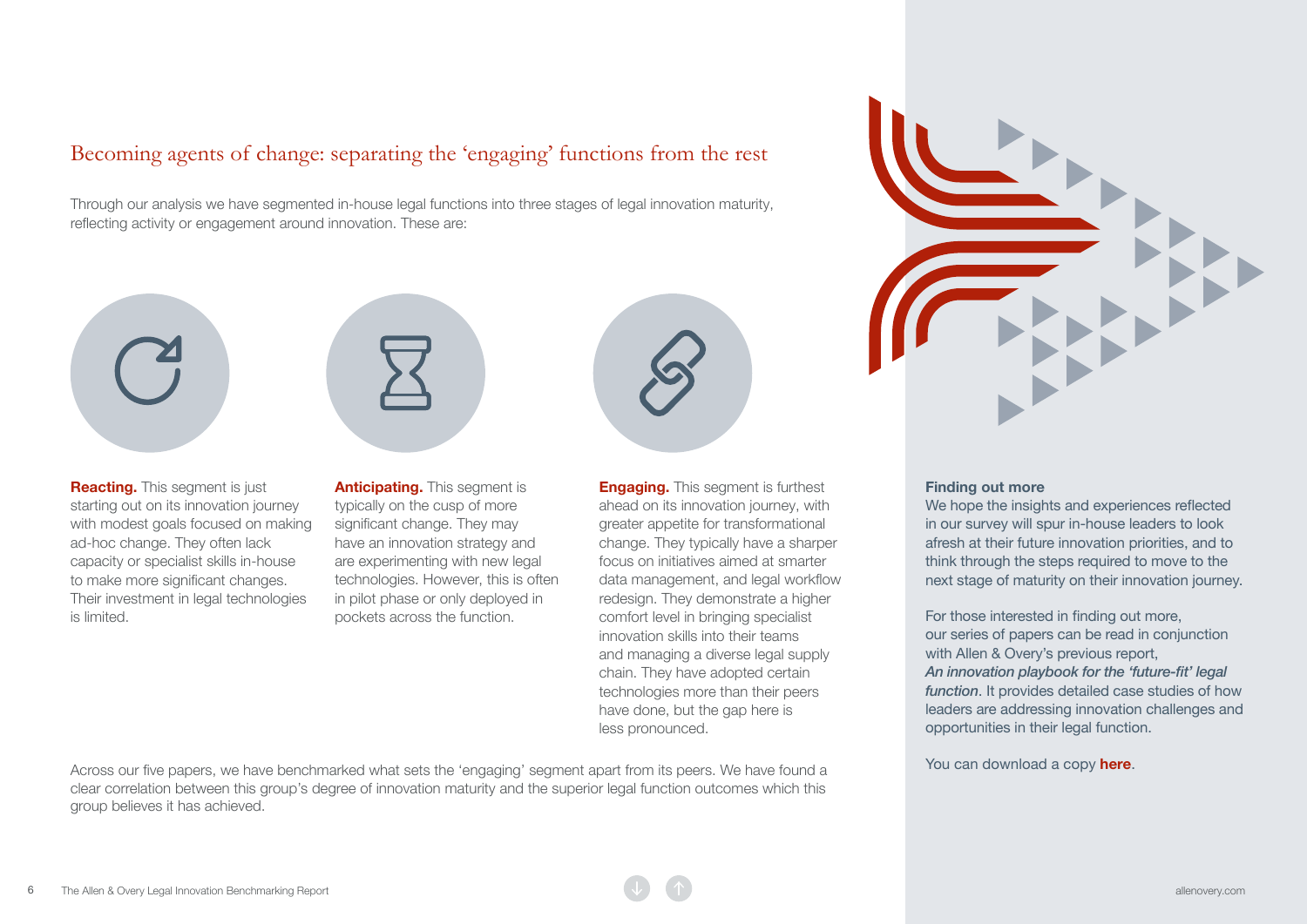#### Becoming agents of change: separating the 'engaging' functions from the rest

Through our analysis we have segmented in-house legal functions into three stages of legal innovation maturity, reflecting activity or engagement around innovation. These are:



**Reacting.** This segment is just starting out on its innovation journey with modest goals focused on making ad-hoc change. They often lack capacity or specialist skills in-house to make more significant changes. Their investment in legal technologies is limited.

Anticipating. This segment is typically on the cusp of more significant change. They may have an innovation strategy and are experimenting with new legal technologies. However, this is often in pilot phase or only deployed in pockets across the function.

**Engaging.** This segment is furthest ahead on its innovation journey, with greater appetite for transformational change. They typically have a sharper focus on initiatives aimed at smarter data management, and legal workflow redesign. They demonstrate a higher comfort level in bringing specialist innovation skills into their teams and managing a diverse legal supply chain. They have adopted certain technologies more than their peers have done, but the gap here is less pronounced.

Across our five papers, we have benchmarked what sets the 'engaging' segment apart from its peers. We have found a clear correlation between this group's degree of innovation maturity and the superior legal function outcomes which this group believes it has achieved.



#### Finding out more

We hope the insights and experiences reflected in our survey will spur in-house leaders to look afresh at their future innovation priorities, and to think through the steps required to move to the next stage of maturity on their innovation journey.

For those interested in finding out more, our series of papers can be read in conjunction with Allen & Overy's previous report, An innovation playbook for the 'future-fit' legal *function*. It provides detailed case studies of how leaders are addressing innovation challenges and opportunities in their legal function.

You can download a copy **[here](https://www.allenovery.com/en-gb/global/news-and-insights/legal-innovation/how-to-lead-innovation)**.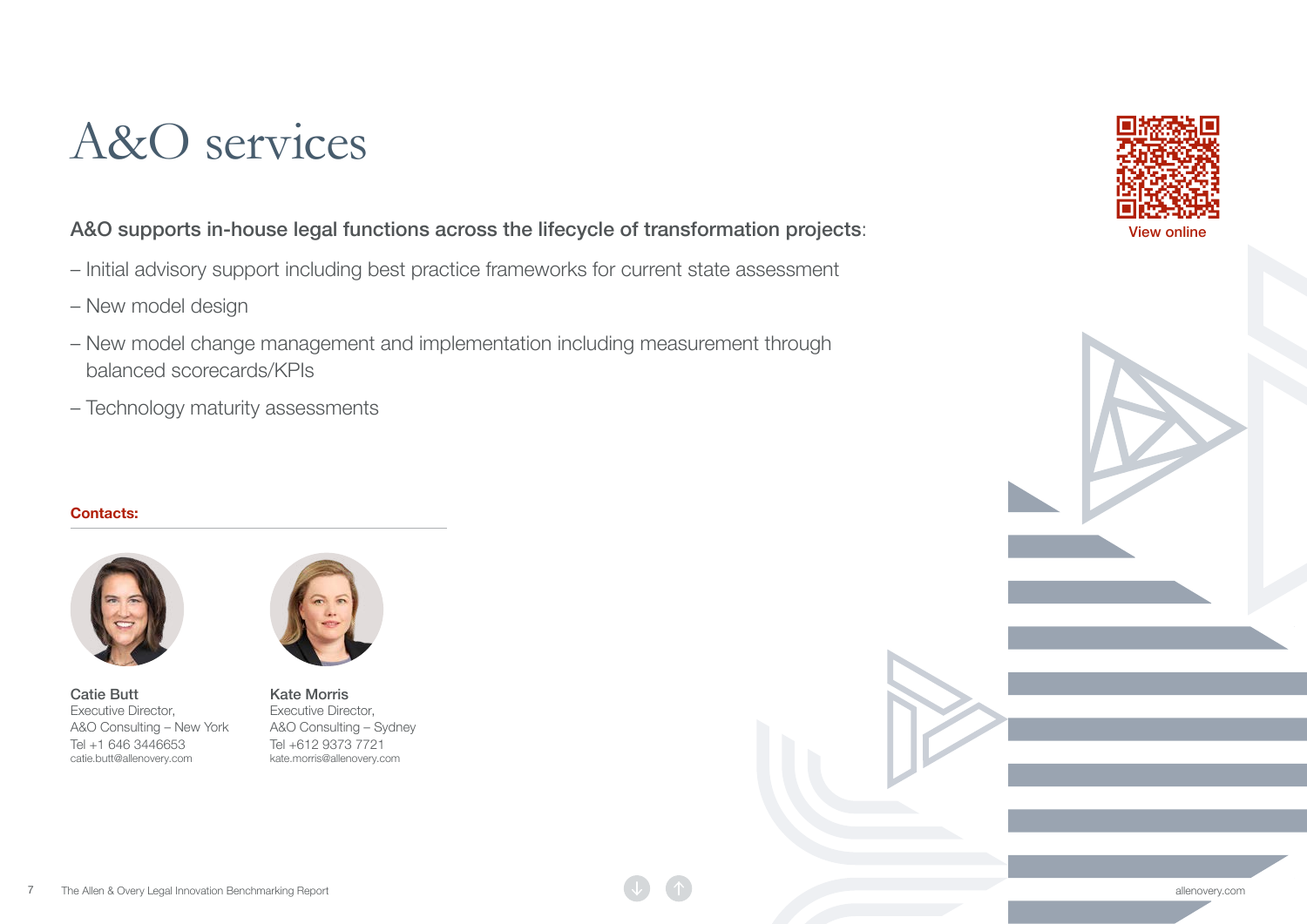## A&O services

#### A&O supports in-house legal functions across the lifecycle of transformation projects:

- Initial advisory support including best practice frameworks for current state assessment
- New model design
- New model change management and implementation including measurement through balanced scorecards/KPIs
- Technology maturity assessments

#### Contacts:



[Catie Butt](https://www.allenovery.com/en-gb/global/people/Cathleen_Butt) [Executive Director,](https://www.allenovery.com/en-gb/global/people/Cathleen_Butt)  [A&O Consulting – New York](https://www.allenovery.com/en-gb/global/people/Cathleen_Butt) Tel +1 646 3446653 catie.butt@allenovery.com



[Kate Morris](https://www.allenovery.com/en-gb/global/people/Kate_Morris) [Executive Director,](https://www.allenovery.com/en-gb/global/people/Kate_Morris)  [A&O Consulting – Sydney](https://www.allenovery.com/en-gb/global/people/Kate_Morris) Tel +612 9373 7721 kate.morris@allenovery.com